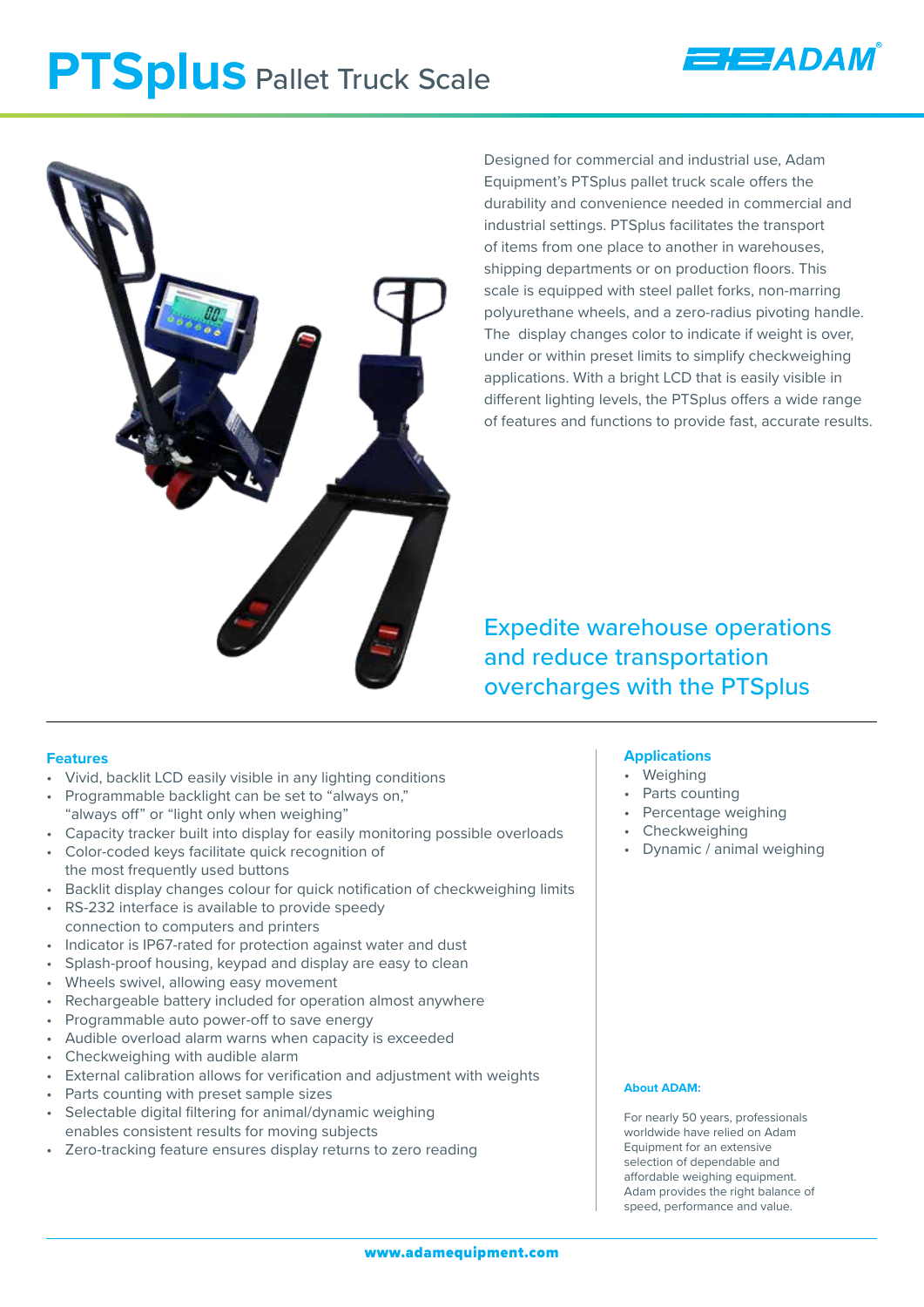# **PTSplus** Pallet Truck Scale



Designed for commercial and industrial use, Adam Equipment's PTSplus pallet truck scale offers the durability and convenience needed in commercial and industrial settings. PTSplus facilitates the transport of items from one place to another in warehouses, shipping departments or on production floors. This scale is equipped with steel pallet forks, non-marring polyurethane wheels, and a zero-radius pivoting handle. The display changes color to indicate if weight is over, under or within preset limits to simplify checkweighing applications. With a bright LCD that is easily visible in different lighting levels, the PTSplus offers a wide range of features and functions to provide fast, accurate results.

**HEJADAM** 

Expedite warehouse operations and reduce transportation overcharges with the PTSplus

## **Features**

- Vivid, backlit LCD easily visible in any lighting conditions
- Programmable backlight can be set to "always on,"
- "always off" or "light only when weighing" • Capacity tracker built into display for easily monitoring possible overloads
- Color-coded keys facilitate quick recognition of the most frequently used buttons
- Backlit display changes colour for quick notification of checkweighing limits
- RS-232 interface is available to provide speedy connection to computers and printers
- Indicator is IP67-rated for protection against water and dust
- Splash-proof housing, keypad and display are easy to clean
- Wheels swivel, allowing easy movement
- Rechargeable battery included for operation almost anywhere
- Programmable auto power-off to save energy
- Audible overload alarm warns when capacity is exceeded
- Checkweighing with audible alarm
- External calibration allows for verification and adjustment with weights
- Parts counting with preset sample sizes
- Selectable digital filtering for animal/dynamic weighing enables consistent results for moving subjects
- Zero-tracking feature ensures display returns to zero reading

## **Applications**

- **Weighing**
- Parts counting
- Percentage weighing
- **Checkweighing**
- Dynamic / animal weighing

#### **About ADAM:**

For nearly 50 years, professionals worldwide have relied on Adam Equipment for an extensive selection of dependable and affordable weighing equipment. Adam provides the right balance of speed, performance and value.